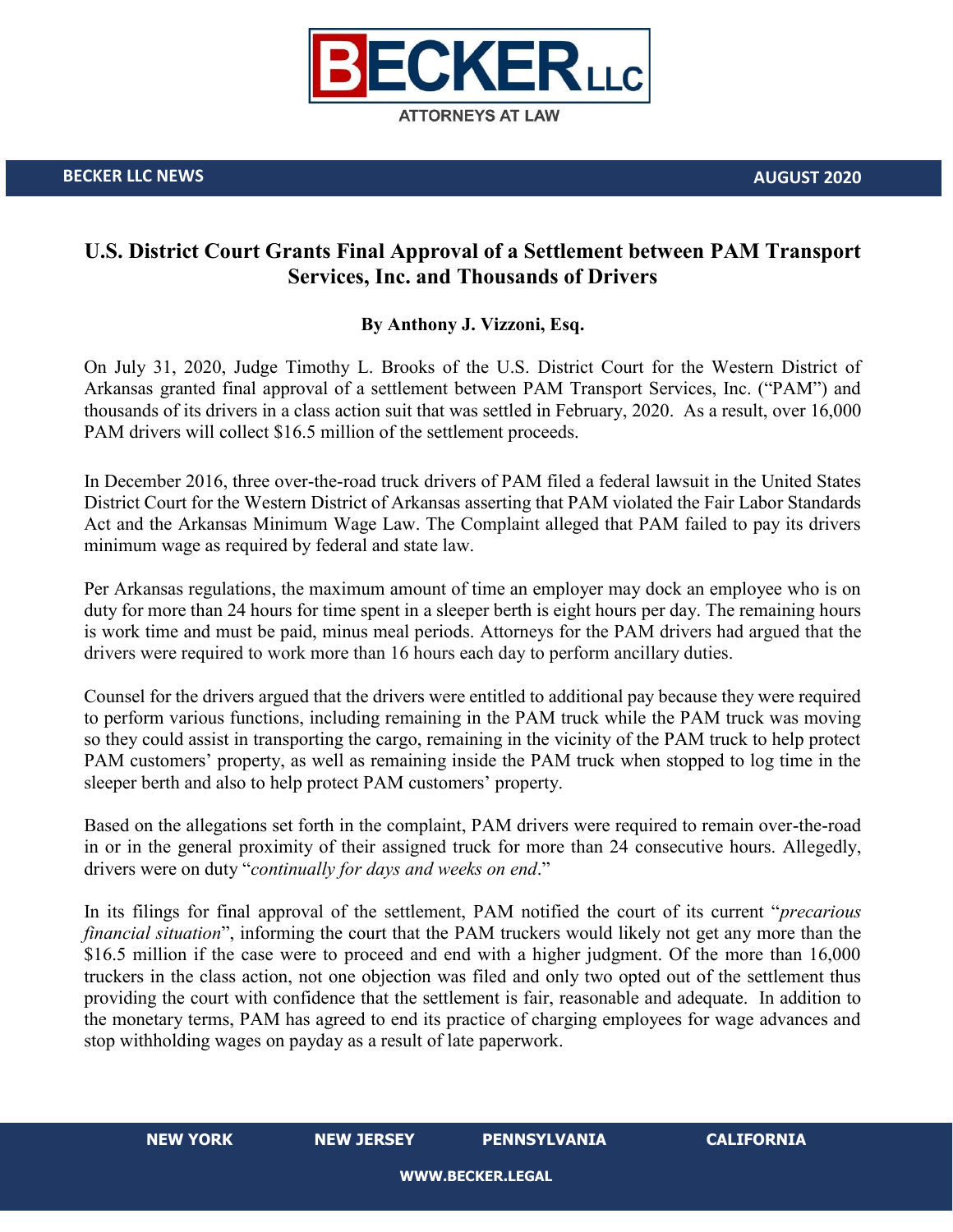

## **U.S. District Court Grants Final Approval of a Settlement between PAM Transport Services, Inc. and Thousands of Drivers**

## **By Anthony J. Vizzoni, Esq.**

On July 31, 2020, Judge Timothy L. Brooks of the U.S. District Court for the Western District of Arkansas granted final approval of a settlement between PAM Transport Services, Inc. ("PAM") and thousands of its drivers in a class action suit that was settled in February, 2020. As a result, over 16,000 PAM drivers will collect \$16.5 million of the settlement proceeds.

In December 2016, three over-the-road truck drivers of PAM filed a federal lawsuit in the United States District Court for the Western District of Arkansas asserting that PAM violated the Fair Labor Standards Act and the Arkansas Minimum Wage Law. The Complaint alleged that PAM failed to pay its drivers minimum wage as required by federal and state law.

Per Arkansas regulations, the maximum amount of time an employer may dock an employee who is on duty for more than 24 hours for time spent in a sleeper berth is eight hours per day. The remaining hours is work time and must be paid, minus meal periods. Attorneys for the PAM drivers had argued that the drivers were required to work more than 16 hours each day to perform ancillary duties.

Counsel for the drivers argued that the drivers were entitled to additional pay because they were required to perform various functions, including remaining in the PAM truck while the PAM truck was moving so they could assist in transporting the cargo, remaining in the vicinity of the PAM truck to help protect PAM customers' property, as well as remaining inside the PAM truck when stopped to log time in the sleeper berth and also to help protect PAM customers' property.

Based on the allegations set forth in the complaint, PAM drivers were required to remain over-the-road in or in the general proximity of their assigned truck for more than 24 consecutive hours. Allegedly, drivers were on duty "*continually for days and weeks on end*."

In its filings for final approval of the settlement, PAM notified the court of its current "*precarious financial situation*", informing the court that the PAM truckers would likely not get any more than the \$16.5 million if the case were to proceed and end with a higher judgment. Of the more than 16,000 truckers in the class action, not one objection was filed and only two opted out of the settlement thus providing the court with confidence that the settlement is fair, reasonable and adequate. In addition to the monetary terms, PAM has agreed to end its practice of charging employees for wage advances and stop withholding wages on payday as a result of late paperwork.